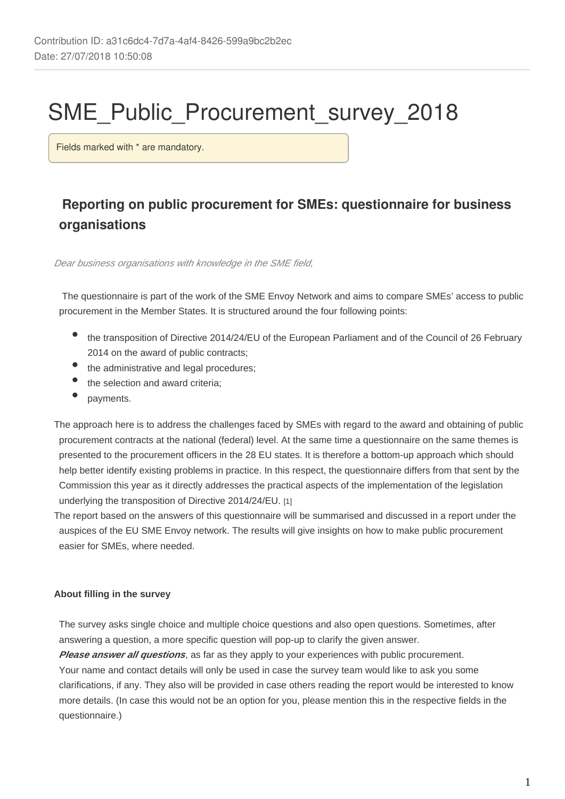# SME\_Public\_Procurement\_survey\_2018

Fields marked with \* are mandatory.

## **Reporting on public procurement for SMEs: questionnaire for business organisations**

Dear business organisations with knowledge in the SME field,

The questionnaire is part of the work of the SME Envoy Network and aims to compare SMEs' access to public procurement in the Member States. It is structured around the four following points:

- the transposition of Directive 2014/24/EU of the European Parliament and of the Council of 26 February 2014 on the award of public contracts;
- the administrative and legal procedures;
- the selection and award criteria;
- payments.

The approach here is to address the challenges faced by SMEs with regard to the award and obtaining of public procurement contracts at the national (federal) level. At the same time a questionnaire on the same themes is presented to the procurement officers in the 28 EU states. It is therefore a bottom-up approach which should help better identify existing problems in practice. In this respect, the questionnaire differs from that sent by the Commission this year as it directly addresses the practical aspects of the implementation of the legislation underlying the transposition of Directive 2014/24/EU. [1]

The report based on the answers of this questionnaire will be summarised and discussed in a report under the auspices of the EU SME Envoy network. The results will give insights on how to make public procurement easier for SMEs, where needed.

#### **About filling in the survey**

The survey asks single choice and multiple choice questions and also open questions. Sometimes, after answering a question, a more specific question will pop-up to clarify the given answer.

**Please answer all questions**, as far as they apply to your experiences with public procurement. Your name and contact details will only be used in case the survey team would like to ask you some clarifications, if any. They also will be provided in case others reading the report would be interested to know more details. (In case this would not be an option for you, please mention this in the respective fields in the questionnaire.)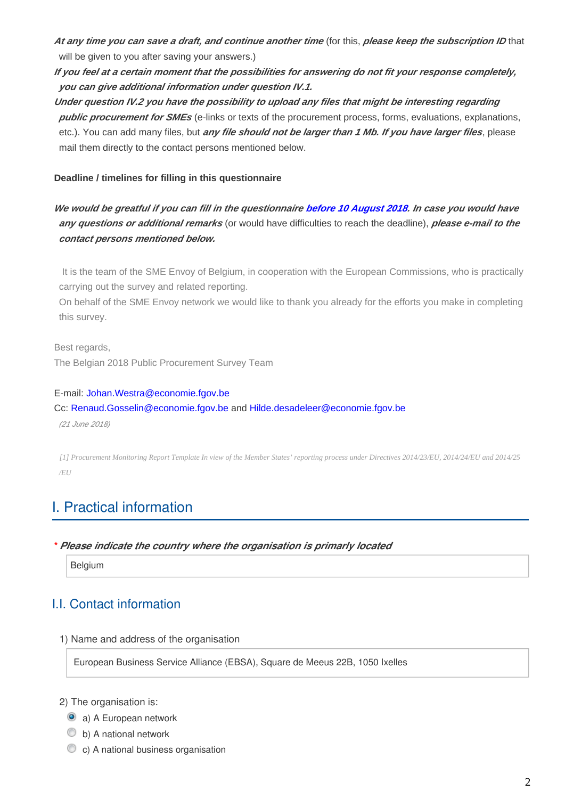**At any time you can save a draft, and continue another time** (for this, **please keep the subscription ID** that will be given to you after saving your answers.)

**If you feel at a certain moment that the possibilities for answering do not fit your response completely, you can give additional information under question IV.1.**

**Under question IV.2 you have the possibility to upload any files that might be interesting regarding public procurement for SMEs** (e-links or texts of the procurement process, forms, evaluations, explanations, etc.). You can add many files, but **any file should not be larger than 1 Mb. If you have larger files**, please mail them directly to the contact persons mentioned below.

#### **Deadline / timelines for filling in this questionnaire**

**We would be greatful if you can fill in the questionnaire before 10 August 2018. In case you would have any questions or additional remarks** (or would have difficulties to reach the deadline), **please e-mail to the contact persons mentioned below.**

It is the team of the SME Envoy of Belgium, in cooperation with the European Commissions, who is practically carrying out the survey and related reporting.

On behalf of the SME Envoy network we would like to thank you already for the efforts you make in completing this survey.

Best regards,

The Belgian 2018 Public Procurement Survey Team

#### E-mail: Johan.Westra@economie.fgov.be

Cc: Renaud.Gosselin@economie.fgov.be and Hilde.desadeleer@economie.fgov.be

(21 June 2018)

*[1] Procurement Monitoring Report Template In view of the Member States' reporting process under Directives 2014/23/EU, 2014/24/EU and 2014/25 /EU*

## I. Practical information

#### **\****Please indicate the country where the organisation is primarly located*

**Belgium** 

## I.I. Contact information

1) Name and address of the organisation

European Business Service Alliance (EBSA), Square de Meeus 22B, 1050 Ixelles

- 2) The organisation is:
	- a) A European network
	- b) A national network
	- C c) A national business organisation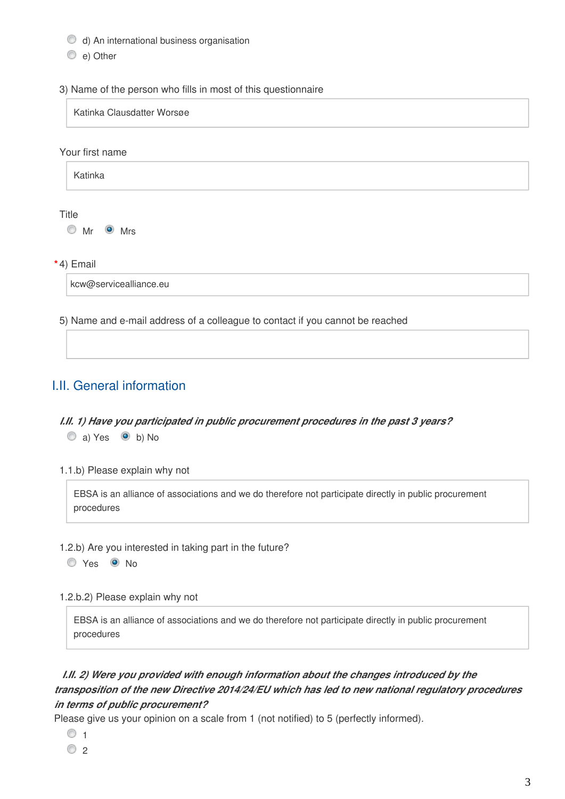- d) An international business organisation
- e) Other

#### 3) Name of the person who fills in most of this questionnaire

Katinka Clausdatter Worsøe

#### Your first name



#### Title

Mr Mrs

**\*** 4) Email

kcw@servicealliance.eu

5) Name and e-mail address of a colleague to contact if you cannot be reached

## I.II. General information

## *I.II. 1) Have you participated in public procurement procedures in the past 3 years?* a) Yes <br>
b) No

1.1.b) Please explain why not

EBSA is an alliance of associations and we do therefore not participate directly in public procurement procedures

1.2.b) Are you interested in taking part in the future?

O Yes <sup>O</sup> No

1.2.b.2) Please explain why not

EBSA is an alliance of associations and we do therefore not participate directly in public procurement procedures

## *I.II. 2) Were you provided with enough information about the changes introduced by the transposition of the new Directive 2014/24/EU which has led to new national regulatory procedures in terms of public procurement?*

Please give us your opinion on a scale from 1 (not notified) to 5 (perfectly informed).

- $\circ$  1
- $\circ$  2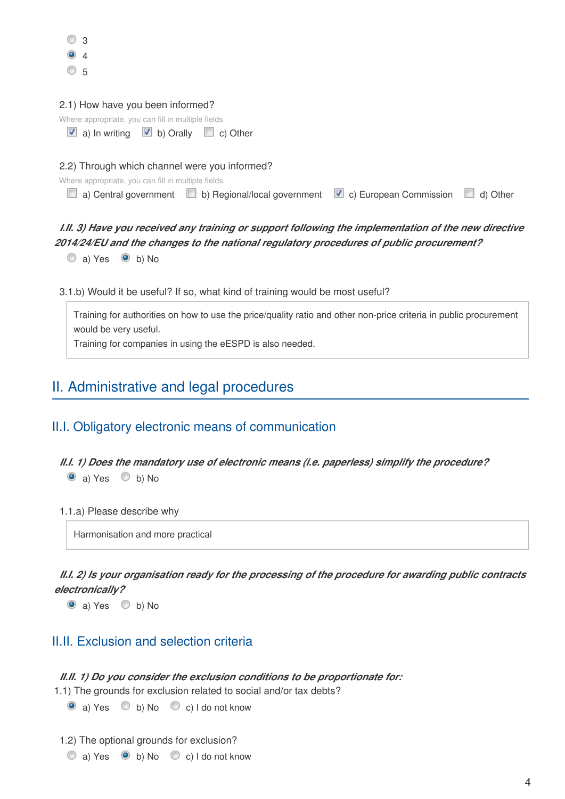|           | 3              |  |
|-----------|----------------|--|
| $\bullet$ | $\overline{4}$ |  |
|           | 5              |  |

| 2.1) How have you been informed?                                                                        |  |
|---------------------------------------------------------------------------------------------------------|--|
| Where appropriate, you can fill in multiple fields                                                      |  |
| a) In writing $\blacksquare$ b) Orally $\blacksquare$ c) Other                                          |  |
|                                                                                                         |  |
|                                                                                                         |  |
| 2.2) Through which channel were you informed?                                                           |  |
| Where appropriate, you can fill in multiple fields                                                      |  |
| a) Central government $\Box$ b) Regional/local government $\Box$ c) European Commission $\Box$ d) Other |  |

## *I.II. 3) Have you received any training or support following the implementation of the new directive 2014/24/EU and the changes to the national regulatory procedures of public procurement?*

 $\circledcirc$  a) Yes  $\circledcirc$  b) No

3.1.b) Would it be useful? If so, what kind of training would be most useful?

Training for authorities on how to use the price/quality ratio and other non-price criteria in public procurement would be very useful.

Training for companies in using the eESPD is also needed.

## II. Administrative and legal procedures

## II.I. Obligatory electronic means of communication

#### *II.I. 1) Does the mandatory use of electronic means (i.e. paperless) simplify the procedure?*  $\bullet$  a) Yes  $\bullet$  b) No

#### 1.1.a) Please describe why

Harmonisation and more practical

*II.I. 2) Is your organisation ready for the processing of the procedure for awarding public contracts electronically?*

 $\bullet$  a) Yes  $\bullet$  b) No

## II.II. Exclusion and selection criteria

#### *II.II. 1) Do you consider the exclusion conditions to be proportionate for:*

1.1) The grounds for exclusion related to social and/or tax debts?

 $\bullet$  a) Yes  $\bullet$  b) No  $\bullet$  c) I do not know

- 1.2) The optional grounds for exclusion?
	- $\circledcirc$  a) Yes  $\circledcirc$  b) No  $\circledcirc$  c) I do not know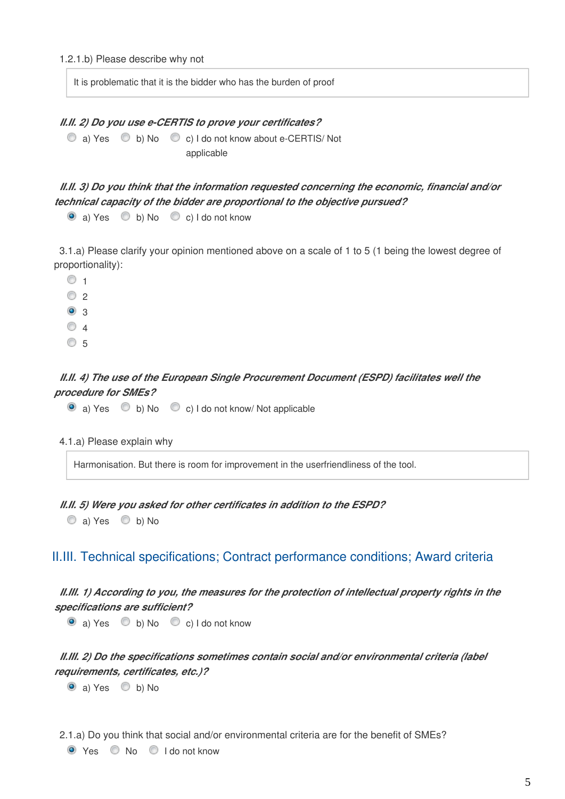It is problematic that it is the bidder who has the burden of proof

#### *II.II. 2) Do you use e-CERTIS to prove your certificates?*

C a) Yes C b) No C c) I do not know about e-CERTIS/ Not applicable

*II.II. 3) Do you think that the information requested concerning the economic, financial and/or technical capacity of the bidder are proportional to the objective pursued?*

 $\bullet$  a) Yes  $\bullet$  b) No  $\bullet$  c) I do not know

3.1.a) Please clarify your opinion mentioned above on a scale of 1 to 5 (1 being the lowest degree of proportionality):

 $\circ$  1  $\circ$  2 <sup>3</sup>  $\circ$  4  $\circ$  5

#### *II.II. 4) The use of the European Single Procurement Document (ESPD) facilitates well the procedure for SMEs?*

 $\bullet$  a) Yes  $\bullet$  b) No  $\bullet$  c) I do not know/ Not applicable

Harmonisation. But there is room for improvement in the userfriendliness of the tool.

*II.II. 5) Were you asked for other certificates in addition to the ESPD?*

 $\circledcirc$  a) Yes  $\circledcirc$  b) No

### II.III. Technical specifications; Contract performance conditions; Award criteria

### *II.III. 1) According to you, the measures for the protection of intellectual property rights in the specifications are sufficient?*

 $\bullet$  a) Yes  $\bullet$  b) No  $\bullet$  c) I do not know

## *II.III. 2) Do the specifications sometimes contain social and/or environmental criteria (label requirements, certificates, etc.)?*

 $\bullet$  a) Yes  $\bullet$  b) No

2.1.a) Do you think that social and/or environmental criteria are for the benefit of SMEs?

```
O Yes \odot No \odot I do not know
```
<sup>4.1.</sup>a) Please explain why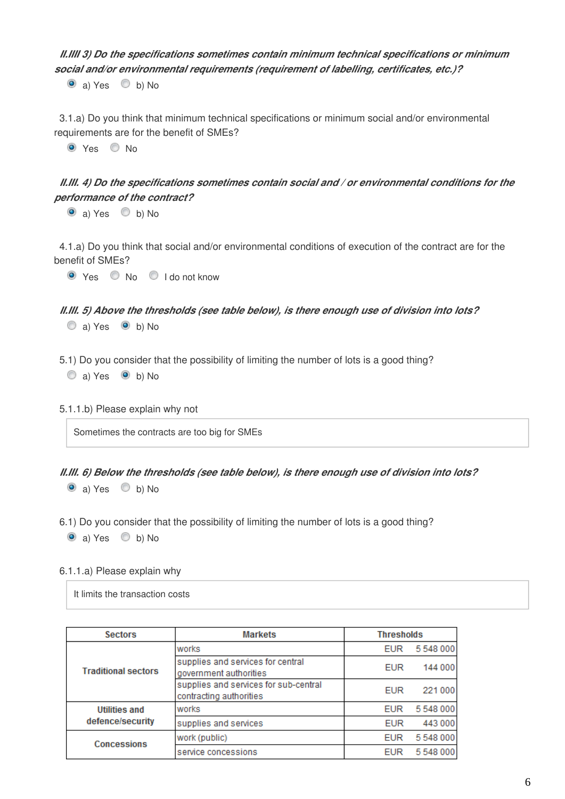## *II.IIII 3) Do the specifications sometimes contain minimum technical specifications or minimum social and/or environmental requirements (requirement of labelling, certificates, etc.)?*

 $\bullet$  a) Yes  $\bullet$  b) No

3.1.a) Do you think that minimum technical specifications or minimum social and/or environmental requirements are for the benefit of SMEs?

O Yes O No

## *II.III. 4) Do the specifications sometimes contain social and / or environmental conditions for the performance of the contract?*

 $\bullet$  a) Yes  $\bullet$  b) No

4.1.a) Do you think that social and/or environmental conditions of execution of the contract are for the benefit of SMEs?

O Yes O No O I do not know

## *II.III. 5) Above the thresholds (see table below), is there enough use of division into lots?*

- $\circledcirc$  a) Yes  $\circledcirc$  b) No
- 5.1) Do you consider that the possibility of limiting the number of lots is a good thing?

 $\circledcirc$  a) Yes  $\circledcirc$  b) No

5.1.1.b) Please explain why not

Sometimes the contracts are too big for SMEs

#### *II.III. 6) Below the thresholds (see table below), is there enough use of division into lots?*

 $\bullet$  a) Yes  $\bullet$  b) No

6.1) Do you consider that the possibility of limiting the number of lots is a good thing?

 $\bullet$  a) Yes  $\bullet$  b) No

#### 6.1.1.a) Please explain why

It limits the transaction costs

| <b>Sectors</b>                           | <b>Markets</b>                                                   | <b>Thresholds</b> |         |
|------------------------------------------|------------------------------------------------------------------|-------------------|---------|
| <b>Traditional sectors</b>               | works                                                            | <b>EUR</b>        | 5548000 |
|                                          | supplies and services for central<br>government authorities      | <b>EUR</b>        | 144 000 |
|                                          | supplies and services for sub-central<br>contracting authorities | <b>EUR</b>        | 221 000 |
| <b>Utilities and</b><br>defence/security | works                                                            | <b>EUR</b>        | 5548000 |
|                                          | supplies and services                                            | <b>EUR</b>        | 443 000 |
| <b>Concessions</b>                       | work (public)                                                    | <b>EUR</b>        | 5548000 |
|                                          | service concessions                                              | <b>EUR</b>        | 5548000 |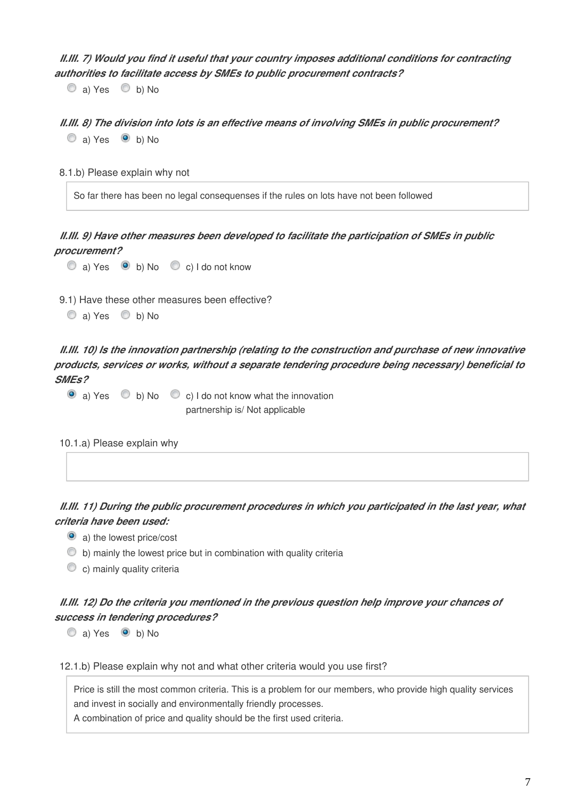*II.III. 7) Would you find it useful that your country imposes additional conditions for contracting authorities to facilitate access by SMEs to public procurement contracts?*

 $\circledcirc$  a) Yes  $\circledcirc$  b) No

*II.III. 8) The division into lots is an effective means of involving SMEs in public procurement?* a) Yes  $\bullet$  b) No

8.1.b) Please explain why not

So far there has been no legal consequenses if the rules on lots have not been followed

*II.III. 9) Have other measures been developed to facilitate the participation of SMEs in public procurement?*

 $\textcircled{a}$  Yes  $\textcircled{b}$  b) No  $\textcircled{c}$  c) I do not know

9.1) Have these other measures been effective?

```
\circledcirc a) Yes \circledcirc b) No
```
*II.III. 10) Is the innovation partnership (relating to the construction and purchase of new innovative products, services or works, without a separate tendering procedure being necessary) beneficial to SMEs?*

 $\bullet$  a) Yes  $\bullet$  b) No  $\bullet$  c) I do not know what the innovation partnership is/ Not applicable

10.1.a) Please explain why

*II.III. 11) During the public procurement procedures in which you participated in the last year, what criteria have been used:*

a) the lowest price/cost

 $\bullet$  b) mainly the lowest price but in combination with quality criteria

c) mainly quality criteria

*II.III. 12) Do the criteria you mentioned in the previous question help improve your chances of success in tendering procedures?*

 $\circledcirc$  a) Yes  $\circledcirc$  b) No

12.1.b) Please explain why not and what other criteria would you use first?

Price is still the most common criteria. This is a problem for our members, who provide high quality services and invest in socially and environmentally friendly processes.

A combination of price and quality should be the first used criteria.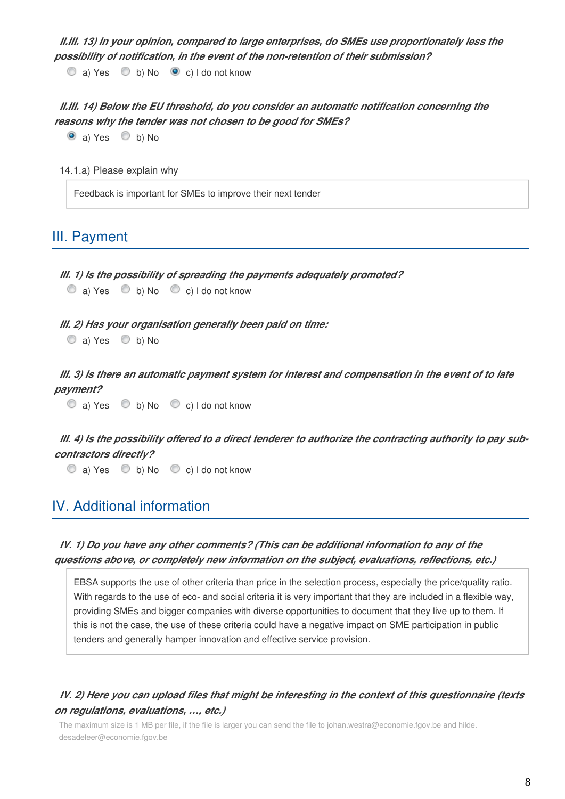*II.III. 13) In your opinion, compared to large enterprises, do SMEs use proportionately less the possibility of notification, in the event of the non-retention of their submission?*

 $\circledcirc$  a) Yes  $\circledcirc$  b) No  $\circledcirc$  c) I do not know

*II.III. 14) Below the EU threshold, do you consider an automatic notification concerning the reasons why the tender was not chosen to be good for SMEs?*

 $\bullet$  a) Yes  $\bullet$  b) No

14.1.a) Please explain why

Feedback is important for SMEs to improve their next tender

## III. Payment

| III. 1) Is the possibility of spreading the payments adequately promoted? |  |                                                                            |  |  |
|---------------------------------------------------------------------------|--|----------------------------------------------------------------------------|--|--|
|                                                                           |  | $\circledcirc$ a) Yes $\circledcirc$ b) No $\circledcirc$ c) I do not know |  |  |
|                                                                           |  |                                                                            |  |  |
| III. 2) Has your organisation generally been paid on time:                |  |                                                                            |  |  |
| $\circledcirc$ a) Yes $\circledcirc$ b) No                                |  |                                                                            |  |  |

*III. 3) Is there an automatic payment system for interest and compensation in the event of to late payment?*

 $\textcircled{a}$  a) Yes  $\textcircled{b}$  b) No  $\textcircled{c}$  c) I do not know

*III. 4) Is the possibility offered to a direct tenderer to authorize the contracting authority to pay subcontractors directly?*

 $\textcircled{a}$  a) Yes  $\textcircled{b}$  b) No  $\textcircled{c}$  c) I do not know

## IV. Additional information

## *IV. 1) Do you have any other comments? (This can be additional information to any of the questions above, or completely new information on the subject, evaluations, reflections, etc.)*

EBSA supports the use of other criteria than price in the selection process, especially the price/quality ratio. With regards to the use of eco- and social criteria it is very important that they are included in a flexible way, providing SMEs and bigger companies with diverse opportunities to document that they live up to them. If this is not the case, the use of these criteria could have a negative impact on SME participation in public tenders and generally hamper innovation and effective service provision.

## *IV. 2) Here you can upload files that might be interesting in the context of this questionnaire (texts on regulations, evaluations, …, etc.)*

The maximum size is 1 MB per file, if the file is larger you can send the file to johan.westra@economie.fgov.be and hilde. desadeleer@economie.fgov.be